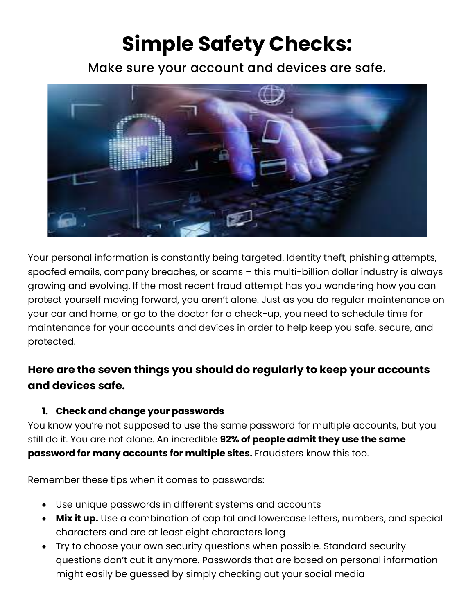# **Simple Safety Checks:**

Make sure your account and devices are safe.



Your personal information is constantly being targeted. Identity theft, phishing attempts, spoofed emails, company breaches, or scams – this multi-billion dollar industry is always growing and evolving. If the most recent fraud attempt has you wondering how you can protect yourself moving forward, you aren't alone. Just as you do regular maintenance on your car and home, or go to the doctor for a check-up, you need to schedule time for maintenance for your accounts and devices in order to help keep you safe, secure, and protected.

# **Here are the seven things you should do regularly to keep your accounts and devices safe.**

### **1. Check and change your passwords**

You know you're not supposed to use the same password for multiple accounts, but you still do it. You are not alone. An incredible **92% of people admit they use the same password for many accounts for multiple sites.** Fraudsters know this too.

Remember these tips when it comes to passwords:

- Use unique passwords in different systems and accounts
- **Mix it up.** Use a combination of capital and lowercase letters, numbers, and special characters and are at least eight characters long
- Try to choose your own security questions when possible. Standard security questions don't cut it anymore. Passwords that are based on personal information might easily be guessed by simply checking out your social media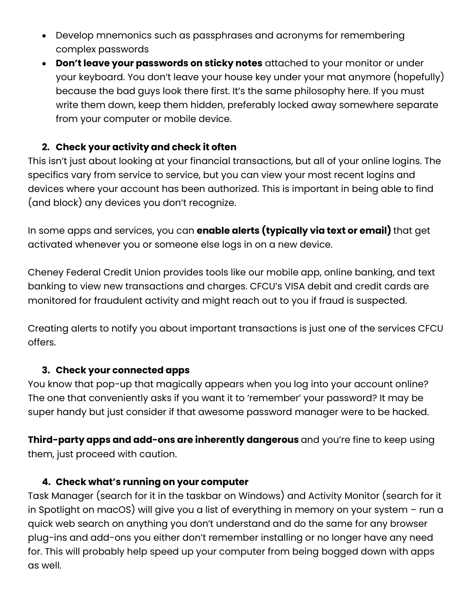- Develop mnemonics such as passphrases and acronyms for remembering complex passwords
- **Don't leave your passwords on sticky notes** attached to your monitor or under your keyboard. You don't leave your house key under your mat anymore (hopefully) because the bad guys look there first. It's the same philosophy here. If you must write them down, keep them hidden, preferably locked away somewhere separate from your computer or mobile device.

## **2. Check your activity and check it often**

This isn't just about looking at your financial transactions, but all of your online logins. The specifics vary from service to service, but you can view your most recent logins and devices where your account has been authorized. This is important in being able to find (and block) any devices you don't recognize.

In some apps and services, you can **enable alerts (typically via text or email)** that get activated whenever you or someone else logs in on a new device.

Cheney Federal Credit Union provides tools like our mobile app, online banking, and text banking to view new transactions and charges. CFCU's VISA debit and credit cards are monitored for fraudulent activity and might reach out to you if fraud is suspected.

Creating alerts to notify you about important transactions is just one of the services CFCU offers.

### **3. Check your connected apps**

You know that pop-up that magically appears when you log into your account online? The one that conveniently asks if you want it to 'remember' your password? It may be super handy but just consider if that awesome password manager were to be hacked.

**Third-party apps and add-ons are inherently dangerous** and you're fine to keep using them, just proceed with caution.

#### **4. Check what's running on your computer**

Task Manager (search for it in the taskbar on Windows) and Activity Monitor (search for it in Spotlight on macOS) will give you a list of everything in memory on your system – run a quick web search on anything you don't understand and do the same for any browser plug-ins and add-ons you either don't remember installing or no longer have any need for. This will probably help speed up your computer from being bogged down with apps as well.